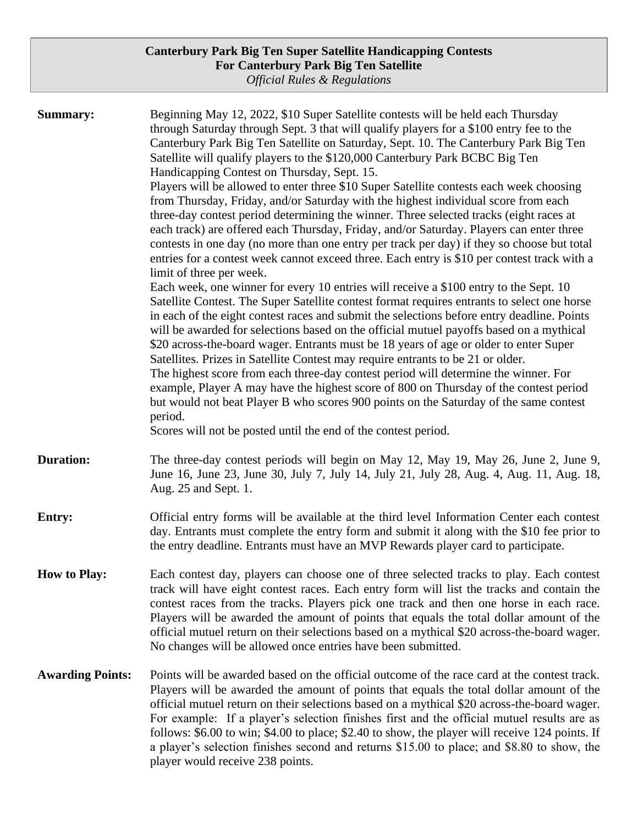**Summary:** Beginning May 12, 2022, \$10 Super Satellite contests will be held each Thursday through Saturday through Sept. 3 that will qualify players for a \$100 entry fee to the Canterbury Park Big Ten Satellite on Saturday, Sept. 10. The Canterbury Park Big Ten Satellite will qualify players to the \$120,000 Canterbury Park BCBC Big Ten Handicapping Contest on Thursday, Sept. 15. Players will be allowed to enter three \$10 Super Satellite contests each week choosing from Thursday, Friday, and/or Saturday with the highest individual score from each three-day contest period determining the winner. Three selected tracks (eight races at each track) are offered each Thursday, Friday, and/or Saturday. Players can enter three contests in one day (no more than one entry per track per day) if they so choose but total entries for a contest week cannot exceed three. Each entry is \$10 per contest track with a limit of three per week. Each week, one winner for every 10 entries will receive a \$100 entry to the Sept. 10 Satellite Contest. The Super Satellite contest format requires entrants to select one horse in each of the eight contest races and submit the selections before entry deadline. Points will be awarded for selections based on the official mutuel payoffs based on a mythical \$20 across-the-board wager. Entrants must be 18 years of age or older to enter Super Satellites. Prizes in Satellite Contest may require entrants to be 21 or older. The highest score from each three-day contest period will determine the winner. For example, Player A may have the highest score of 800 on Thursday of the contest period but would not beat Player B who scores 900 points on the Saturday of the same contest period. Scores will not be posted until the end of the contest period. **Duration:** The three-day contest periods will begin on May 12, May 19, May 26, June 2, June 9, June 16, June 23, June 30, July 7, July 14, July 21, July 28, Aug. 4, Aug. 11, Aug. 18, Aug. 25 and Sept. 1. **Entry:** Official entry forms will be available at the third level Information Center each contest day. Entrants must complete the entry form and submit it along with the \$10 fee prior to the entry deadline. Entrants must have an MVP Rewards player card to participate.

- **How to Play:** Each contest day, players can choose one of three selected tracks to play. Each contest track will have eight contest races. Each entry form will list the tracks and contain the contest races from the tracks. Players pick one track and then one horse in each race. Players will be awarded the amount of points that equals the total dollar amount of the official mutuel return on their selections based on a mythical \$20 across-the-board wager. No changes will be allowed once entries have been submitted.
- **Awarding Points:** Points will be awarded based on the official outcome of the race card at the contest track. Players will be awarded the amount of points that equals the total dollar amount of the official mutuel return on their selections based on a mythical \$20 across-the-board wager. For example: If a player's selection finishes first and the official mutuel results are as follows: \$6.00 to win; \$4.00 to place; \$2.40 to show, the player will receive 124 points. If a player's selection finishes second and returns \$15.00 to place; and \$8.80 to show, the player would receive 238 points.